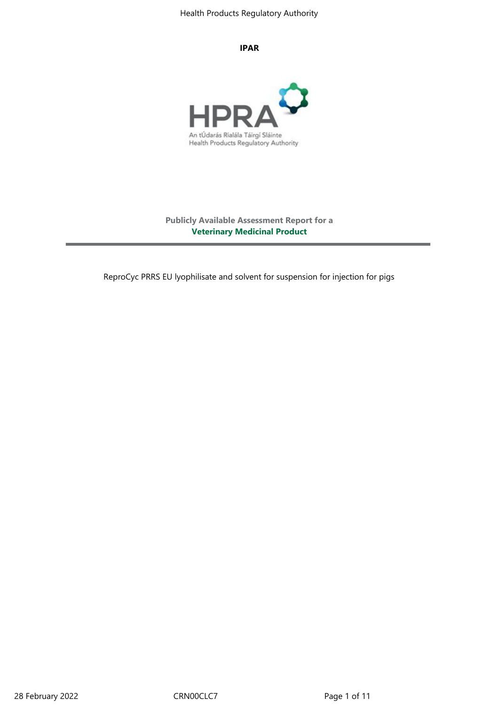#### **IPAR**



**Publicly Available Assessment Report for a Veterinary Medicinal Product**

ReproCyc PRRS EU lyophilisate and solvent for suspension for injection for pigs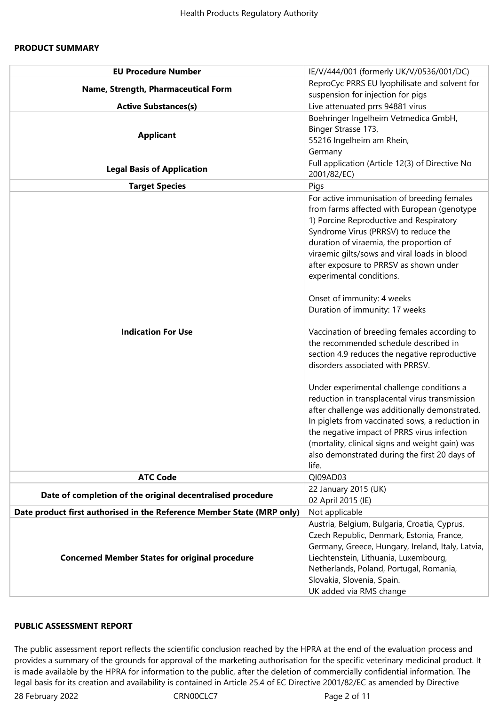# **PRODUCT SUMMARY**

| <b>EU Procedure Number</b>                                             | IE/V/444/001 (formerly UK/V/0536/001/DC)                                              |
|------------------------------------------------------------------------|---------------------------------------------------------------------------------------|
| Name, Strength, Pharmaceutical Form                                    | ReproCyc PRRS EU lyophilisate and solvent for                                         |
|                                                                        | suspension for injection for pigs                                                     |
| <b>Active Substances(s)</b>                                            | Live attenuated prrs 94881 virus                                                      |
|                                                                        | Boehringer Ingelheim Vetmedica GmbH,                                                  |
| <b>Applicant</b>                                                       | Binger Strasse 173,                                                                   |
|                                                                        | 55216 Ingelheim am Rhein,                                                             |
|                                                                        | Germany                                                                               |
| <b>Legal Basis of Application</b>                                      | Full application (Article 12(3) of Directive No<br>2001/82/EC)                        |
| <b>Target Species</b>                                                  | Pigs                                                                                  |
|                                                                        | For active immunisation of breeding females                                           |
|                                                                        | from farms affected with European (genotype                                           |
|                                                                        | 1) Porcine Reproductive and Respiratory                                               |
|                                                                        | Syndrome Virus (PRRSV) to reduce the                                                  |
|                                                                        | duration of viraemia, the proportion of                                               |
|                                                                        | viraemic gilts/sows and viral loads in blood                                          |
|                                                                        | after exposure to PRRSV as shown under                                                |
|                                                                        | experimental conditions.                                                              |
|                                                                        | Onset of immunity: 4 weeks                                                            |
|                                                                        | Duration of immunity: 17 weeks                                                        |
|                                                                        |                                                                                       |
| <b>Indication For Use</b>                                              | Vaccination of breeding females according to<br>the recommended schedule described in |
|                                                                        |                                                                                       |
|                                                                        | section 4.9 reduces the negative reproductive<br>disorders associated with PRRSV.     |
|                                                                        |                                                                                       |
|                                                                        | Under experimental challenge conditions a                                             |
|                                                                        | reduction in transplacental virus transmission                                        |
|                                                                        | after challenge was additionally demonstrated.                                        |
|                                                                        | In piglets from vaccinated sows, a reduction in                                       |
|                                                                        | the negative impact of PRRS virus infection                                           |
|                                                                        | (mortality, clinical signs and weight gain) was                                       |
|                                                                        | also demonstrated during the first 20 days of                                         |
|                                                                        | life.                                                                                 |
| <b>ATC Code</b>                                                        | QI09AD03                                                                              |
| Date of completion of the original decentralised procedure             | 22 January 2015 (UK)<br>02 April 2015 (IE)                                            |
| Date product first authorised in the Reference Member State (MRP only) | Not applicable                                                                        |
|                                                                        | Austria, Belgium, Bulgaria, Croatia, Cyprus,                                          |
| <b>Concerned Member States for original procedure</b>                  | Czech Republic, Denmark, Estonia, France,                                             |
|                                                                        | Germany, Greece, Hungary, Ireland, Italy, Latvia,                                     |
|                                                                        | Liechtenstein, Lithuania, Luxembourg,                                                 |
|                                                                        | Netherlands, Poland, Portugal, Romania,                                               |
|                                                                        | Slovakia, Slovenia, Spain.                                                            |
|                                                                        | UK added via RMS change                                                               |

## **PUBLIC ASSESSMENT REPORT**

28 February 2022 CRN00CLC7 CRNOCLC7 The public assessment report reflects the scientific conclusion reached by the HPRA at the end of the evaluation process and provides a summary of the grounds for approval of the marketing authorisation for the specific veterinary medicinal product. It is made available by the HPRA for information to the public, after the deletion of commercially confidential information. The legal basis for its creation and availability is contained in Article 25.4 of EC Directive 2001/82/EC as amended by Directive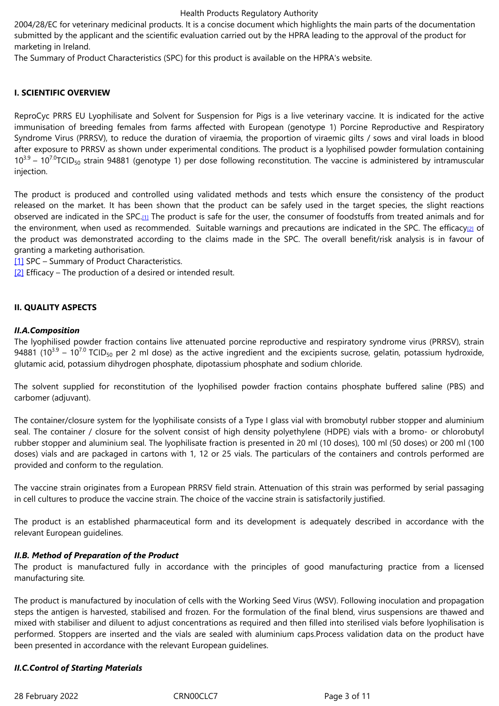marketing in Ireland.

The Summary of Product Characteristics (SPC) for this product is available on the HPRA's website.

# **I. SCIENTIFIC OVERVIEW**

ReproCyc PRRS EU Lyophilisate and Solvent for Suspension for Pigs is a live veterinary vaccine. It is indicated for the active immunisation of breeding females from farms affected with European (genotype 1) Porcine Reproductive and Respiratory Syndrome Virus (PRRSV), to reduce the duration of viraemia, the proportion of viraemic gilts / sows and viral loads in blood after exposure to PRRSV as shown under experimental conditions. The product is a lyophilised powder formulation containing 10<sup>3.9</sup> – 10<sup>7.0</sup>TCID<sub>50</sub> strain 94881 (genotype 1) per dose following reconstitution. The vaccine is administered by intramuscular injection.

The product is produced and controlled using validated methods and tests which ensure the consistency of the product released on the market. It has been shown that the product can be safely used in the target species, the slight reactions observed are indicated in the SPC.[1] The product is safe for the user, the consumer of foodstuffs from treated animals and for the environment, when used as recommended. Suitable warnings and precautions are indicated in the SPC. The efficacy $_{[2]}$  of the product was demonstrated according to the claims made in the SPC. The overall benefit/risk analysis is in favour of granting a marketing authorisation.

[1] SPC – Summary of Product Cha[ra](file:///C:/Users/flanagang/Documents/ReproCyc%20PRRS%20EU%20-%20Latest%20PuAR%20.DOC#_ftn1)cteristics.

 $[2]$  Efficacy – The production of a desired or intended result.

#### **[II. Q](file:///C:/Users/flanagang/Documents/ReproCyc%20PRRS%20EU%20-%20Latest%20PuAR%20.DOC#_ftnref1)UALITY ASPECTS**

#### *II.A.Composition*

The lyophilised powder fraction contains live attenuated porcine reproductive and respiratory syndrome virus (PRRSV), strain 94881 (10 $^{3.9}$  – 10 $^{7.0}$  TCID<sub>50</sub> per 2 ml dose) as the active ingredient and the excipients sucrose, gelatin, potassium hydroxide, glutamic acid, potassium dihydrogen phosphate, dipotassium phosphate and sodium chloride.

The solvent supplied for reconstitution of the lyophilised powder fraction contains phosphate buffered saline (PBS) and carbomer (adjuvant).

The container/closure system for the lyophilisate consists of a Type I glass vial with bromobutyl rubber stopper and aluminium seal. The container / closure for the solvent consist of high density polyethylene (HDPE) vials with a bromo- or chlorobutyl rubber stopper and aluminium seal. The lyophilisate fraction is presented in 20 ml (10 doses), 100 ml (50 doses) or 200 ml (100 doses) vials and are packaged in cartons with 1, 12 or 25 vials. The particulars of the containers and controls performed are provided and conform to the regulation.

The vaccine strain originates from a European PRRSV field strain. Attenuation of this strain was performed by serial passaging in cell cultures to produce the vaccine strain. The choice of the vaccine strain is satisfactorily justified.

The product is an established pharmaceutical form and its development is adequately described in accordance with the relevant European guidelines.

## *II.B. Method of Preparation of the Product*

The product is manufactured fully in accordance with the principles of good manufacturing practice from a licensed manufacturing site*.*

The product is manufactured by inoculation of cells with the Working Seed Virus (WSV). Following inoculation and propagation steps the antigen is harvested, stabilised and frozen. For the formulation of the final blend, virus suspensions are thawed and mixed with stabiliser and diluent to adjust concentrations as required and then filled into sterilised vials before lyophilisation is performed. Stoppers are inserted and the vials are sealed with aluminium caps.Process validation data on the product have been presented in accordance with the relevant European guidelines.

## *II.C.Control of Starting Materials*

28 February 2022 CRN00CLC7 Page 3 of 11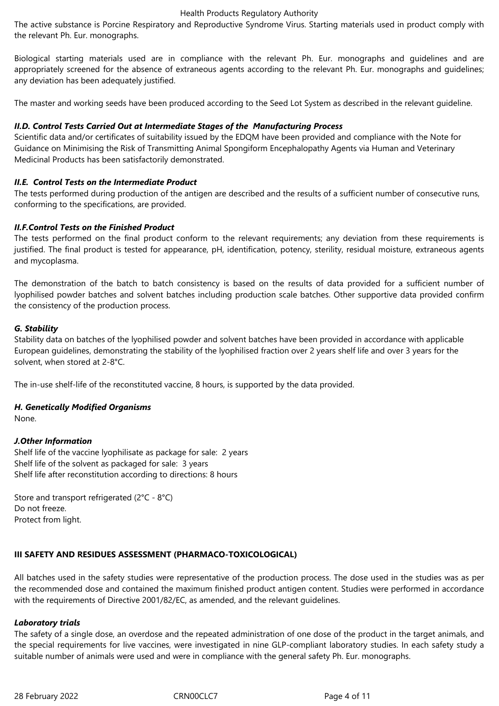The active substance is Porcine Respiratory and Reproductive Syndrome Virus. Starting materials used in product comply with the relevant Ph. Eur. monographs.

Biological starting materials used are in compliance with the relevant Ph. Eur. monographs and guidelines and are appropriately screened for the absence of extraneous agents according to the relevant Ph. Eur. monographs and guidelines; any deviation has been adequately justified.

The master and working seeds have been produced according to the Seed Lot System as described in the relevant guideline.

# *II.D. Control Tests Carried Out at Intermediate Stages of the Manufacturing Process*

Scientific data and/or certificates of suitability issued by the EDQM have been provided and compliance with the Note for Guidance on Minimising the Risk of Transmitting Animal Spongiform Encephalopathy Agents via Human and Veterinary Medicinal Products has been satisfactorily demonstrated.

## *II.E. Control Tests on the Intermediate Product*

The tests performed during production of the antigen are described and the results of a sufficient number of consecutive runs, conforming to the specifications, are provided.

## *II.F.Control Tests on the Finished Product*

The tests performed on the final product conform to the relevant requirements; any deviation from these requirements is justified. The final product is tested for appearance, pH, identification, potency, sterility, residual moisture, extraneous agents and mycoplasma.

The demonstration of the batch to batch consistency is based on the results of data provided for a sufficient number of lyophilised powder batches and solvent batches including production scale batches. Other supportive data provided confirm the consistency of the production process.

## *G. Stability*

Stability data on batches of the lyophilised powder and solvent batches have been provided in accordance with applicable European guidelines, demonstrating the stability of the lyophilised fraction over 2 years shelf life and over 3 years for the solvent, when stored at 2-8°C.

The in-use shelf-life of the reconstituted vaccine, 8 hours, is supported by the data provided.

## *H. Genetically Modified Organisms*

None.

## *J.Other Information*

Shelf life of the vaccine lyophilisate as package for sale: 2 years Shelf life of the solvent as packaged for sale: 3 years Shelf life after reconstitution according to directions: 8 hours

Store and transport refrigerated (2°C - 8°C) Do not freeze. Protect from light.

# **III SAFETY AND RESIDUES ASSESSMENT (PHARMACO-TOXICOLOGICAL)**

All batches used in the safety studies were representative of the production process. The dose used in the studies was as per the recommended dose and contained the maximum finished product antigen content. Studies were performed in accordance with the requirements of Directive 2001/82/EC, as amended, and the relevant guidelines.

## *Laboratory trials*

The safety of a single dose, an overdose and the repeated administration of one dose of the product in the target animals, and the special requirements for live vaccines, were investigated in nine GLP-compliant laboratory studies. In each safety study a suitable number of animals were used and were in compliance with the general safety Ph. Eur. monographs.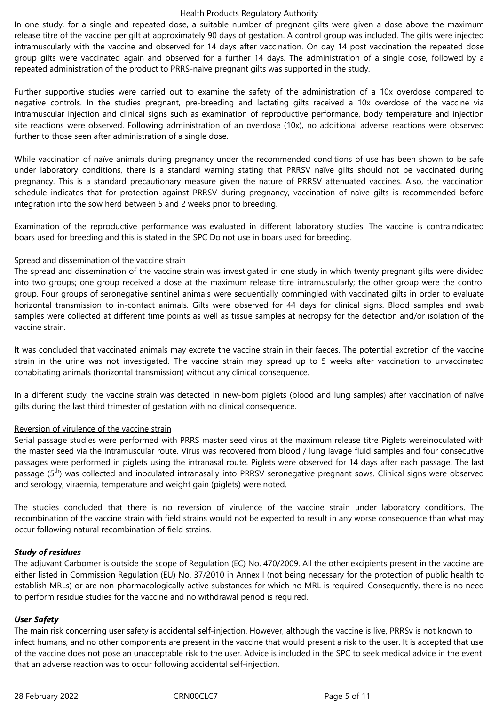In one study, for a single and repeated dose, a suitable number of pregnant gilts were given a dose above the maximum release titre of the vaccine per gilt at approximately 90 days of gestation. A control group was included. The gilts were injected intramuscularly with the vaccine and observed for 14 days after vaccination. On day 14 post vaccination the repeated dose group gilts were vaccinated again and observed for a further 14 days. The administration of a single dose, followed by a repeated administration of the product to PRRS-naïve pregnant gilts was supported in the study.

Further supportive studies were carried out to examine the safety of the administration of a 10x overdose compared to negative controls. In the studies pregnant, pre-breeding and lactating gilts received a 10x overdose of the vaccine via intramuscular injection and clinical signs such as examination of reproductive performance, body temperature and injection site reactions were observed. Following administration of an overdose (10x), no additional adverse reactions were observed further to those seen after administration of a single dose.

While vaccination of naïve animals during pregnancy under the recommended conditions of use has been shown to be safe under laboratory conditions, there is a standard warning stating that PRRSV naïve gilts should not be vaccinated during pregnancy. This is a standard precautionary measure given the nature of PRRSV attenuated vaccines. Also, the vaccination schedule indicates that for protection against PRRSV during pregnancy, vaccination of naïve gilts is recommended before integration into the sow herd between 5 and 2 weeks prior to breeding.

Examination of the reproductive performance was evaluated in different laboratory studies. The vaccine is contraindicated boars used for breeding and this is stated in the SPC Do not use in boars used for breeding.

## Spread and dissemination of the vaccine strain

The spread and dissemination of the vaccine strain was investigated in one study in which twenty pregnant gilts were divided into two groups; one group received a dose at the maximum release titre intramuscularly; the other group were the control group. Four groups of seronegative sentinel animals were sequentially commingled with vaccinated gilts in order to evaluate horizontal transmission to in-contact animals. Gilts were observed for 44 days for clinical signs. Blood samples and swab samples were collected at different time points as well as tissue samples at necropsy for the detection and/or isolation of the vaccine strain.

It was concluded that vaccinated animals may excrete the vaccine strain in their faeces. The potential excretion of the vaccine strain in the urine was not investigated. The vaccine strain may spread up to 5 weeks after vaccination to unvaccinated cohabitating animals (horizontal transmission) without any clinical consequence.

In a different study, the vaccine strain was detected in new-born piglets (blood and lung samples) after vaccination of naïve gilts during the last third trimester of gestation with no clinical consequence.

## Reversion of virulence of the vaccine strain

Serial passage studies were performed with PRRS master seed virus at the maximum release titre Piglets wereinoculated with the master seed via the intramuscular route. Virus was recovered from blood / lung lavage fluid samples and four consecutive passages were performed in piglets using the intranasal route. Piglets were observed for 14 days after each passage. The last passage  $(5<sup>th</sup>)$  was collected and inoculated intranasally into PRRSV seronegative pregnant sows. Clinical signs were observed and serology, viraemia, temperature and weight gain (piglets) were noted.

The studies concluded that there is no reversion of virulence of the vaccine strain under laboratory conditions. The recombination of the vaccine strain with field strains would not be expected to result in any worse consequence than what may occur following natural recombination of field strains.

# *Study of residues*

The adjuvant Carbomer is outside the scope of Regulation (EC) No. 470/2009. All the other excipients present in the vaccine are either listed in Commission Regulation (EU) No. 37/2010 in Annex I (not being necessary for the protection of public health to establish MRLs) or are non-pharmacologically active substances for which no MRL is required. Consequently, there is no need to perform residue studies for the vaccine and no withdrawal period is required.

## *User Safety*

The main risk concerning user safety is accidental self-injection. However, although the vaccine is live, PRRSv is not known to infect humans, and no other components are present in the vaccine that would present a risk to the user. It is accepted that use of the vaccine does not pose an unacceptable risk to the user. Advice is included in the SPC to seek medical advice in the event that an adverse reaction was to occur following accidental self-injection.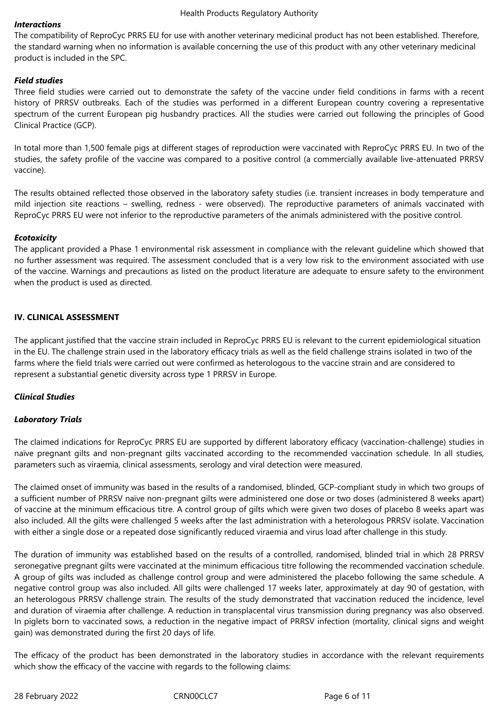#### *Interactions*

The compatibility of ReproCyc PRRS EU for use with another veterinary medicinal product has not been established. Therefore, the standard warning when no information is available concerning the use of this product with any other veterinary medicinal product is included in the SPC.

## *Field studies*

Three field studies were carried out to demonstrate the safety of the vaccine under field conditions in farms with a recent history of PRRSV outbreaks. Each of the studies was performed in a different European country covering a representative spectrum of the current European pig husbandry practices. All the studies were carried out following the principles of Good Clinical Practice (GCP).

In total more than 1,500 female pigs at different stages of reproduction were vaccinated with ReproCyc PRRS EU. In two of the studies, the safety profile of the vaccine was compared to a positive control (a commercially available live-attenuated PRRSV vaccine).

The results obtained reflected those observed in the laboratory safety studies (i.e. transient increases in body temperature and mild injection site reactions – swelling, redness - were observed). The reproductive parameters of animals vaccinated with ReproCyc PRRS EU were not inferior to the reproductive parameters of the animals administered with the positive control.

#### *Ecotoxicity*

The applicant provided a Phase 1 environmental risk assessment in compliance with the relevant guideline which showed that no further assessment was required. The assessment concluded that is a very low risk to the environment associated with use of the vaccine. Warnings and precautions as listed on the product literature are adequate to ensure safety to the environment when the product is used as directed.

## **IV. CLINICAL ASSESSMENT**

The applicant justified that the vaccine strain included in ReproCyc PRRS EU is relevant to the current epidemiological situation in the EU. The challenge strain used in the laboratory efficacy trials as well as the field challenge strains isolated in two of the farms where the field trials were carried out were confirmed as heterologous to the vaccine strain and are considered to represent a substantial genetic diversity across type 1 PRRSV in Europe.

## *Clinical Studies*

## *Laboratory Trials*

The claimed indications for ReproCyc PRRS EU are supported by different laboratory efficacy (vaccination-challenge) studies in naïve pregnant gilts and non-pregnant gilts vaccinated according to the recommended vaccination schedule. In all studies, parameters such as viraemia, clinical assessments, serology and viral detection were measured.

The claimed onset of immunity was based in the results of a randomised, blinded, GCP-compliant study in which two groups of a sufficient number of PRRSV naïve non-pregnant gilts were administered one dose or two doses (administered 8 weeks apart) of vaccine at the minimum efficacious titre. A control group of gilts which were given two doses of placebo 8 weeks apart was also included. All the gilts were challenged 5 weeks after the last administration with a heterologous PRRSV isolate. Vaccination with either a single dose or a repeated dose significantly reduced viraemia and virus load after challenge in this study.

The duration of immunity was established based on the results of a controlled, randomised, blinded trial in which 28 PRRSV seronegative pregnant gilts were vaccinated at the minimum efficacious titre following the recommended vaccination schedule. A group of gilts was included as challenge control group and were administered the placebo following the same schedule. A negative control group was also included. All gilts were challenged 17 weeks later, approximately at day 90 of gestation, with an heterologous PRRSV challenge strain. The results of the study demonstrated that vaccination reduced the incidence, level and duration of viraemia after challenge. A reduction in transplacental virus transmission during pregnancy was also observed. In piglets born to vaccinated sows, a reduction in the negative impact of PRRSV infection (mortality, clinical signs and weight gain) was demonstrated during the first 20 days of life.

The efficacy of the product has been demonstrated in the laboratory studies in accordance with the relevant requirements which show the efficacy of the vaccine with regards to the following claims: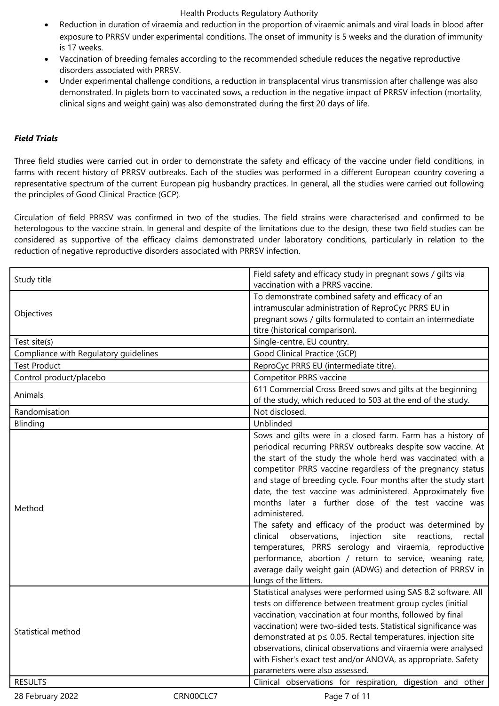- Reduction in duration of viraemia and reduction in the proportion of viraemic animals and viral loads in blood after exposure to PRRSV under experimental conditions. The onset of immunity is 5 weeks and the duration of immunity is 17 weeks.
- Vaccination of breeding females according to the recommended schedule reduces the negative reproductive disorders associated with PRRSV.
- Under experimental challenge conditions, a reduction in transplacental virus transmission after challenge was also demonstrated. In piglets born to vaccinated sows, a reduction in the negative impact of PRRSV infection (mortality, clinical signs and weight gain) was also demonstrated during the first 20 days of life.

# *Field Trials*

Three field studies were carried out in order to demonstrate the safety and efficacy of the vaccine under field conditions, in farms with recent history of PRRSV outbreaks. Each of the studies was performed in a different European country covering a representative spectrum of the current European pig husbandry practices. In general, all the studies were carried out following the principles of Good Clinical Practice (GCP).

Circulation of field PRRSV was confirmed in two of the studies. The field strains were characterised and confirmed to be heterologous to the vaccine strain. In general and despite of the limitations due to the design, these two field studies can be considered as supportive of the efficacy claims demonstrated under laboratory conditions, particularly in relation to the reduction of negative reproductive disorders associated with PRRSV infection.

| To demonstrate combined safety and efficacy of an<br>intramuscular administration of ReproCyc PRRS EU in<br>Objectives<br>pregnant sows / gilts formulated to contain an intermediate<br>titre (historical comparison).<br>Single-centre, EU country.<br>Test site(s)<br>Good Clinical Practice (GCP)<br>Compliance with Regulatory guidelines<br><b>Test Product</b><br>ReproCyc PRRS EU (intermediate titre).<br>Control product/placebo<br>Competitor PRRS vaccine<br>611 Commercial Cross Breed sows and gilts at the beginning<br>Animals<br>of the study, which reduced to 503 at the end of the study.<br>Not disclosed.<br>Randomisation<br>Unblinded<br>Blinding<br>Sows and gilts were in a closed farm. Farm has a history of<br>periodical recurring PRRSV outbreaks despite sow vaccine. At<br>the start of the study the whole herd was vaccinated with a<br>competitor PRRS vaccine regardless of the pregnancy status<br>and stage of breeding cycle. Four months after the study start<br>date, the test vaccine was administered. Approximately five<br>months later a further dose of the test vaccine was<br>Method<br>administered.<br>The safety and efficacy of the product was determined by<br>observations,<br>injection site reactions,<br>clinical<br>rectal<br>temperatures, PRRS serology and viraemia, reproductive<br>performance, abortion / return to service, weaning rate,<br>average daily weight gain (ADWG) and detection of PRRSV in<br>lungs of the litters.<br>Statistical analyses were performed using SAS 8.2 software. All<br>tests on difference between treatment group cycles (initial<br>vaccination, vaccination at four months, followed by final<br>vaccination) were two-sided tests. Statistical significance was<br>Statistical method<br>demonstrated at p≤ 0.05. Rectal temperatures, injection site<br>observations, clinical observations and viraemia were analysed<br>with Fisher's exact test and/or ANOVA, as appropriate. Safety<br>parameters were also assessed.<br><b>RESULTS</b><br>Clinical observations for respiration, digestion and other | Study title      |           | Field safety and efficacy study in pregnant sows / gilts via |
|---------------------------------------------------------------------------------------------------------------------------------------------------------------------------------------------------------------------------------------------------------------------------------------------------------------------------------------------------------------------------------------------------------------------------------------------------------------------------------------------------------------------------------------------------------------------------------------------------------------------------------------------------------------------------------------------------------------------------------------------------------------------------------------------------------------------------------------------------------------------------------------------------------------------------------------------------------------------------------------------------------------------------------------------------------------------------------------------------------------------------------------------------------------------------------------------------------------------------------------------------------------------------------------------------------------------------------------------------------------------------------------------------------------------------------------------------------------------------------------------------------------------------------------------------------------------------------------------------------------------------------------------------------------------------------------------------------------------------------------------------------------------------------------------------------------------------------------------------------------------------------------------------------------------------------------------------------------------------------------------------------------------------------------------------------------------------------------------------------------------|------------------|-----------|--------------------------------------------------------------|
|                                                                                                                                                                                                                                                                                                                                                                                                                                                                                                                                                                                                                                                                                                                                                                                                                                                                                                                                                                                                                                                                                                                                                                                                                                                                                                                                                                                                                                                                                                                                                                                                                                                                                                                                                                                                                                                                                                                                                                                                                                                                                                                     |                  |           | vaccination with a PRRS vaccine.                             |
|                                                                                                                                                                                                                                                                                                                                                                                                                                                                                                                                                                                                                                                                                                                                                                                                                                                                                                                                                                                                                                                                                                                                                                                                                                                                                                                                                                                                                                                                                                                                                                                                                                                                                                                                                                                                                                                                                                                                                                                                                                                                                                                     |                  |           |                                                              |
|                                                                                                                                                                                                                                                                                                                                                                                                                                                                                                                                                                                                                                                                                                                                                                                                                                                                                                                                                                                                                                                                                                                                                                                                                                                                                                                                                                                                                                                                                                                                                                                                                                                                                                                                                                                                                                                                                                                                                                                                                                                                                                                     |                  |           |                                                              |
|                                                                                                                                                                                                                                                                                                                                                                                                                                                                                                                                                                                                                                                                                                                                                                                                                                                                                                                                                                                                                                                                                                                                                                                                                                                                                                                                                                                                                                                                                                                                                                                                                                                                                                                                                                                                                                                                                                                                                                                                                                                                                                                     |                  |           |                                                              |
|                                                                                                                                                                                                                                                                                                                                                                                                                                                                                                                                                                                                                                                                                                                                                                                                                                                                                                                                                                                                                                                                                                                                                                                                                                                                                                                                                                                                                                                                                                                                                                                                                                                                                                                                                                                                                                                                                                                                                                                                                                                                                                                     |                  |           |                                                              |
|                                                                                                                                                                                                                                                                                                                                                                                                                                                                                                                                                                                                                                                                                                                                                                                                                                                                                                                                                                                                                                                                                                                                                                                                                                                                                                                                                                                                                                                                                                                                                                                                                                                                                                                                                                                                                                                                                                                                                                                                                                                                                                                     |                  |           |                                                              |
|                                                                                                                                                                                                                                                                                                                                                                                                                                                                                                                                                                                                                                                                                                                                                                                                                                                                                                                                                                                                                                                                                                                                                                                                                                                                                                                                                                                                                                                                                                                                                                                                                                                                                                                                                                                                                                                                                                                                                                                                                                                                                                                     |                  |           |                                                              |
|                                                                                                                                                                                                                                                                                                                                                                                                                                                                                                                                                                                                                                                                                                                                                                                                                                                                                                                                                                                                                                                                                                                                                                                                                                                                                                                                                                                                                                                                                                                                                                                                                                                                                                                                                                                                                                                                                                                                                                                                                                                                                                                     |                  |           |                                                              |
|                                                                                                                                                                                                                                                                                                                                                                                                                                                                                                                                                                                                                                                                                                                                                                                                                                                                                                                                                                                                                                                                                                                                                                                                                                                                                                                                                                                                                                                                                                                                                                                                                                                                                                                                                                                                                                                                                                                                                                                                                                                                                                                     |                  |           |                                                              |
|                                                                                                                                                                                                                                                                                                                                                                                                                                                                                                                                                                                                                                                                                                                                                                                                                                                                                                                                                                                                                                                                                                                                                                                                                                                                                                                                                                                                                                                                                                                                                                                                                                                                                                                                                                                                                                                                                                                                                                                                                                                                                                                     |                  |           |                                                              |
|                                                                                                                                                                                                                                                                                                                                                                                                                                                                                                                                                                                                                                                                                                                                                                                                                                                                                                                                                                                                                                                                                                                                                                                                                                                                                                                                                                                                                                                                                                                                                                                                                                                                                                                                                                                                                                                                                                                                                                                                                                                                                                                     |                  |           |                                                              |
|                                                                                                                                                                                                                                                                                                                                                                                                                                                                                                                                                                                                                                                                                                                                                                                                                                                                                                                                                                                                                                                                                                                                                                                                                                                                                                                                                                                                                                                                                                                                                                                                                                                                                                                                                                                                                                                                                                                                                                                                                                                                                                                     |                  |           |                                                              |
|                                                                                                                                                                                                                                                                                                                                                                                                                                                                                                                                                                                                                                                                                                                                                                                                                                                                                                                                                                                                                                                                                                                                                                                                                                                                                                                                                                                                                                                                                                                                                                                                                                                                                                                                                                                                                                                                                                                                                                                                                                                                                                                     |                  |           |                                                              |
|                                                                                                                                                                                                                                                                                                                                                                                                                                                                                                                                                                                                                                                                                                                                                                                                                                                                                                                                                                                                                                                                                                                                                                                                                                                                                                                                                                                                                                                                                                                                                                                                                                                                                                                                                                                                                                                                                                                                                                                                                                                                                                                     |                  |           |                                                              |
|                                                                                                                                                                                                                                                                                                                                                                                                                                                                                                                                                                                                                                                                                                                                                                                                                                                                                                                                                                                                                                                                                                                                                                                                                                                                                                                                                                                                                                                                                                                                                                                                                                                                                                                                                                                                                                                                                                                                                                                                                                                                                                                     |                  |           |                                                              |
|                                                                                                                                                                                                                                                                                                                                                                                                                                                                                                                                                                                                                                                                                                                                                                                                                                                                                                                                                                                                                                                                                                                                                                                                                                                                                                                                                                                                                                                                                                                                                                                                                                                                                                                                                                                                                                                                                                                                                                                                                                                                                                                     |                  |           |                                                              |
|                                                                                                                                                                                                                                                                                                                                                                                                                                                                                                                                                                                                                                                                                                                                                                                                                                                                                                                                                                                                                                                                                                                                                                                                                                                                                                                                                                                                                                                                                                                                                                                                                                                                                                                                                                                                                                                                                                                                                                                                                                                                                                                     |                  |           |                                                              |
|                                                                                                                                                                                                                                                                                                                                                                                                                                                                                                                                                                                                                                                                                                                                                                                                                                                                                                                                                                                                                                                                                                                                                                                                                                                                                                                                                                                                                                                                                                                                                                                                                                                                                                                                                                                                                                                                                                                                                                                                                                                                                                                     |                  |           |                                                              |
|                                                                                                                                                                                                                                                                                                                                                                                                                                                                                                                                                                                                                                                                                                                                                                                                                                                                                                                                                                                                                                                                                                                                                                                                                                                                                                                                                                                                                                                                                                                                                                                                                                                                                                                                                                                                                                                                                                                                                                                                                                                                                                                     |                  |           |                                                              |
|                                                                                                                                                                                                                                                                                                                                                                                                                                                                                                                                                                                                                                                                                                                                                                                                                                                                                                                                                                                                                                                                                                                                                                                                                                                                                                                                                                                                                                                                                                                                                                                                                                                                                                                                                                                                                                                                                                                                                                                                                                                                                                                     |                  |           |                                                              |
|                                                                                                                                                                                                                                                                                                                                                                                                                                                                                                                                                                                                                                                                                                                                                                                                                                                                                                                                                                                                                                                                                                                                                                                                                                                                                                                                                                                                                                                                                                                                                                                                                                                                                                                                                                                                                                                                                                                                                                                                                                                                                                                     |                  |           |                                                              |
|                                                                                                                                                                                                                                                                                                                                                                                                                                                                                                                                                                                                                                                                                                                                                                                                                                                                                                                                                                                                                                                                                                                                                                                                                                                                                                                                                                                                                                                                                                                                                                                                                                                                                                                                                                                                                                                                                                                                                                                                                                                                                                                     |                  |           |                                                              |
|                                                                                                                                                                                                                                                                                                                                                                                                                                                                                                                                                                                                                                                                                                                                                                                                                                                                                                                                                                                                                                                                                                                                                                                                                                                                                                                                                                                                                                                                                                                                                                                                                                                                                                                                                                                                                                                                                                                                                                                                                                                                                                                     |                  |           |                                                              |
|                                                                                                                                                                                                                                                                                                                                                                                                                                                                                                                                                                                                                                                                                                                                                                                                                                                                                                                                                                                                                                                                                                                                                                                                                                                                                                                                                                                                                                                                                                                                                                                                                                                                                                                                                                                                                                                                                                                                                                                                                                                                                                                     |                  |           |                                                              |
|                                                                                                                                                                                                                                                                                                                                                                                                                                                                                                                                                                                                                                                                                                                                                                                                                                                                                                                                                                                                                                                                                                                                                                                                                                                                                                                                                                                                                                                                                                                                                                                                                                                                                                                                                                                                                                                                                                                                                                                                                                                                                                                     |                  |           |                                                              |
|                                                                                                                                                                                                                                                                                                                                                                                                                                                                                                                                                                                                                                                                                                                                                                                                                                                                                                                                                                                                                                                                                                                                                                                                                                                                                                                                                                                                                                                                                                                                                                                                                                                                                                                                                                                                                                                                                                                                                                                                                                                                                                                     |                  |           |                                                              |
|                                                                                                                                                                                                                                                                                                                                                                                                                                                                                                                                                                                                                                                                                                                                                                                                                                                                                                                                                                                                                                                                                                                                                                                                                                                                                                                                                                                                                                                                                                                                                                                                                                                                                                                                                                                                                                                                                                                                                                                                                                                                                                                     |                  |           |                                                              |
|                                                                                                                                                                                                                                                                                                                                                                                                                                                                                                                                                                                                                                                                                                                                                                                                                                                                                                                                                                                                                                                                                                                                                                                                                                                                                                                                                                                                                                                                                                                                                                                                                                                                                                                                                                                                                                                                                                                                                                                                                                                                                                                     |                  |           |                                                              |
|                                                                                                                                                                                                                                                                                                                                                                                                                                                                                                                                                                                                                                                                                                                                                                                                                                                                                                                                                                                                                                                                                                                                                                                                                                                                                                                                                                                                                                                                                                                                                                                                                                                                                                                                                                                                                                                                                                                                                                                                                                                                                                                     |                  |           |                                                              |
|                                                                                                                                                                                                                                                                                                                                                                                                                                                                                                                                                                                                                                                                                                                                                                                                                                                                                                                                                                                                                                                                                                                                                                                                                                                                                                                                                                                                                                                                                                                                                                                                                                                                                                                                                                                                                                                                                                                                                                                                                                                                                                                     |                  |           |                                                              |
|                                                                                                                                                                                                                                                                                                                                                                                                                                                                                                                                                                                                                                                                                                                                                                                                                                                                                                                                                                                                                                                                                                                                                                                                                                                                                                                                                                                                                                                                                                                                                                                                                                                                                                                                                                                                                                                                                                                                                                                                                                                                                                                     |                  |           |                                                              |
|                                                                                                                                                                                                                                                                                                                                                                                                                                                                                                                                                                                                                                                                                                                                                                                                                                                                                                                                                                                                                                                                                                                                                                                                                                                                                                                                                                                                                                                                                                                                                                                                                                                                                                                                                                                                                                                                                                                                                                                                                                                                                                                     |                  |           |                                                              |
|                                                                                                                                                                                                                                                                                                                                                                                                                                                                                                                                                                                                                                                                                                                                                                                                                                                                                                                                                                                                                                                                                                                                                                                                                                                                                                                                                                                                                                                                                                                                                                                                                                                                                                                                                                                                                                                                                                                                                                                                                                                                                                                     |                  |           |                                                              |
|                                                                                                                                                                                                                                                                                                                                                                                                                                                                                                                                                                                                                                                                                                                                                                                                                                                                                                                                                                                                                                                                                                                                                                                                                                                                                                                                                                                                                                                                                                                                                                                                                                                                                                                                                                                                                                                                                                                                                                                                                                                                                                                     |                  |           |                                                              |
|                                                                                                                                                                                                                                                                                                                                                                                                                                                                                                                                                                                                                                                                                                                                                                                                                                                                                                                                                                                                                                                                                                                                                                                                                                                                                                                                                                                                                                                                                                                                                                                                                                                                                                                                                                                                                                                                                                                                                                                                                                                                                                                     |                  |           |                                                              |
|                                                                                                                                                                                                                                                                                                                                                                                                                                                                                                                                                                                                                                                                                                                                                                                                                                                                                                                                                                                                                                                                                                                                                                                                                                                                                                                                                                                                                                                                                                                                                                                                                                                                                                                                                                                                                                                                                                                                                                                                                                                                                                                     |                  |           |                                                              |
|                                                                                                                                                                                                                                                                                                                                                                                                                                                                                                                                                                                                                                                                                                                                                                                                                                                                                                                                                                                                                                                                                                                                                                                                                                                                                                                                                                                                                                                                                                                                                                                                                                                                                                                                                                                                                                                                                                                                                                                                                                                                                                                     | 28 February 2022 | CRN00CLC7 | Page 7 of 11                                                 |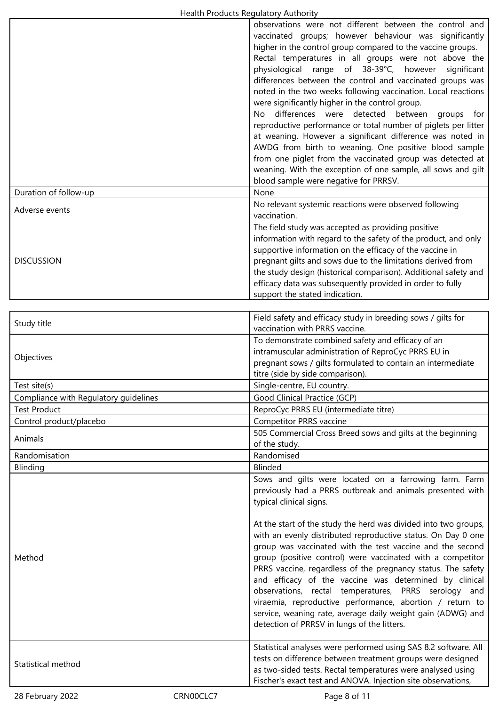| <b>Health Houghts Regulatory Additionty</b> |                                                                                                                                                                                                                                                                                                                                                                                                                                                                                                                                                                                                                                                                                                                                                                                                                                                                                                         |
|---------------------------------------------|---------------------------------------------------------------------------------------------------------------------------------------------------------------------------------------------------------------------------------------------------------------------------------------------------------------------------------------------------------------------------------------------------------------------------------------------------------------------------------------------------------------------------------------------------------------------------------------------------------------------------------------------------------------------------------------------------------------------------------------------------------------------------------------------------------------------------------------------------------------------------------------------------------|
|                                             | observations were not different between the control and<br>vaccinated groups; however behaviour was significantly<br>higher in the control group compared to the vaccine groups.<br>Rectal temperatures in all groups were not above the<br>physiological range of 38-39°C, however<br>significant<br>differences between the control and vaccinated groups was<br>noted in the two weeks following vaccination. Local reactions<br>were significantly higher in the control group.<br>No differences were detected between<br>groups for<br>reproductive performance or total number of piglets per litter<br>at weaning. However a significant difference was noted in<br>AWDG from birth to weaning. One positive blood sample<br>from one piglet from the vaccinated group was detected at<br>weaning. With the exception of one sample, all sows and gilt<br>blood sample were negative for PRRSV. |
| Duration of follow-up                       | None                                                                                                                                                                                                                                                                                                                                                                                                                                                                                                                                                                                                                                                                                                                                                                                                                                                                                                    |
| Adverse events                              | No relevant systemic reactions were observed following<br>vaccination.                                                                                                                                                                                                                                                                                                                                                                                                                                                                                                                                                                                                                                                                                                                                                                                                                                  |
| <b>DISCUSSION</b>                           | The field study was accepted as providing positive<br>information with regard to the safety of the product, and only<br>supportive information on the efficacy of the vaccine in<br>pregnant gilts and sows due to the limitations derived from<br>the study design (historical comparison). Additional safety and<br>efficacy data was subsequently provided in order to fully<br>support the stated indication.                                                                                                                                                                                                                                                                                                                                                                                                                                                                                       |
|                                             |                                                                                                                                                                                                                                                                                                                                                                                                                                                                                                                                                                                                                                                                                                                                                                                                                                                                                                         |
| Study title                                 | Field safety and efficacy study in breeding sows / gilts for<br>vaccination with PRRS vaccine.                                                                                                                                                                                                                                                                                                                                                                                                                                                                                                                                                                                                                                                                                                                                                                                                          |
| Objectives                                  | To demonstrate combined safety and efficacy of an<br>intramuscular administration of ReproCyc PRRS EU in<br>pregnant sows / gilts formulated to contain an intermediate<br>titre (side by side comparison).                                                                                                                                                                                                                                                                                                                                                                                                                                                                                                                                                                                                                                                                                             |
| Test site(s)                                | Single-centre, EU country.                                                                                                                                                                                                                                                                                                                                                                                                                                                                                                                                                                                                                                                                                                                                                                                                                                                                              |
| Compliance with Regulatory guidelines       | Good Clinical Practice (GCP)                                                                                                                                                                                                                                                                                                                                                                                                                                                                                                                                                                                                                                                                                                                                                                                                                                                                            |
| <b>Test Product</b>                         | ReproCyc PRRS EU (intermediate titre)                                                                                                                                                                                                                                                                                                                                                                                                                                                                                                                                                                                                                                                                                                                                                                                                                                                                   |
| Control product/placebo                     | <b>Competitor PRRS vaccine</b>                                                                                                                                                                                                                                                                                                                                                                                                                                                                                                                                                                                                                                                                                                                                                                                                                                                                          |
| Animals                                     | 505 Commercial Cross Breed sows and gilts at the beginning<br>of the study.                                                                                                                                                                                                                                                                                                                                                                                                                                                                                                                                                                                                                                                                                                                                                                                                                             |
| Randomisation                               | Randomised                                                                                                                                                                                                                                                                                                                                                                                                                                                                                                                                                                                                                                                                                                                                                                                                                                                                                              |
| Blinding                                    | <b>Blinded</b>                                                                                                                                                                                                                                                                                                                                                                                                                                                                                                                                                                                                                                                                                                                                                                                                                                                                                          |
| Method                                      | Sows and gilts were located on a farrowing farm. Farm<br>previously had a PRRS outbreak and animals presented with<br>typical clinical signs.<br>At the start of the study the herd was divided into two groups,<br>with an evenly distributed reproductive status. On Day 0 one<br>group was vaccinated with the test vaccine and the second<br>group (positive control) were vaccinated with a competitor<br>PRRS vaccine, regardless of the pregnancy status. The safety<br>and efficacy of the vaccine was determined by clinical<br>observations, rectal temperatures, PRRS serology and<br>viraemia, reproductive performance, abortion / return to<br>service, weaning rate, average daily weight gain (ADWG) and                                                                                                                                                                                |
| Statistical method                          | detection of PRRSV in lungs of the litters.<br>Statistical analyses were performed using SAS 8.2 software. All<br>tests on difference between treatment groups were designed<br>as two-sided tests. Rectal temperatures were analysed using<br>Fischer's exact test and ANOVA. Injection site observations,                                                                                                                                                                                                                                                                                                                                                                                                                                                                                                                                                                                             |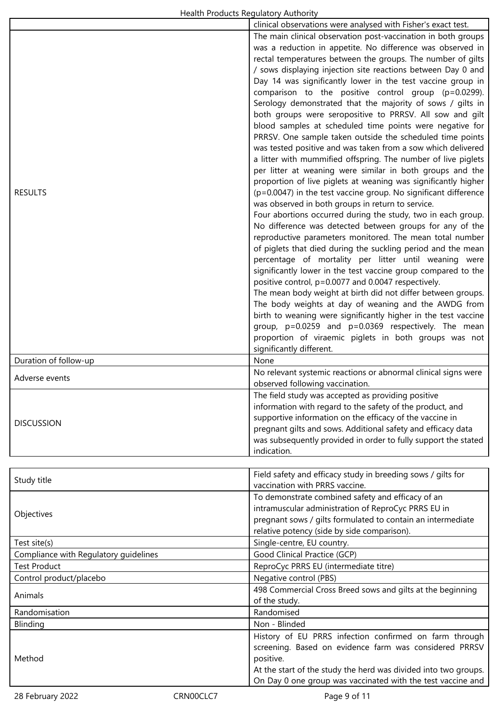|                                       | clinical observations were analysed with Fisher's exact test.                                                                                                                                                                                                                                                                                                                                                                                                                                                                                                                                                                                                                                                                                                                                                                                                                                                                                                                                                                                                                                                                                                                                                                                                                                                                                                                                                                                                                                                                                                                                                                                                                                                                                                                     |
|---------------------------------------|-----------------------------------------------------------------------------------------------------------------------------------------------------------------------------------------------------------------------------------------------------------------------------------------------------------------------------------------------------------------------------------------------------------------------------------------------------------------------------------------------------------------------------------------------------------------------------------------------------------------------------------------------------------------------------------------------------------------------------------------------------------------------------------------------------------------------------------------------------------------------------------------------------------------------------------------------------------------------------------------------------------------------------------------------------------------------------------------------------------------------------------------------------------------------------------------------------------------------------------------------------------------------------------------------------------------------------------------------------------------------------------------------------------------------------------------------------------------------------------------------------------------------------------------------------------------------------------------------------------------------------------------------------------------------------------------------------------------------------------------------------------------------------------|
| <b>RESULTS</b>                        | The main clinical observation post-vaccination in both groups<br>was a reduction in appetite. No difference was observed in<br>rectal temperatures between the groups. The number of gilts<br>/ sows displaying injection site reactions between Day 0 and<br>Day 14 was significantly lower in the test vaccine group in<br>comparison to the positive control group (p=0.0299).<br>Serology demonstrated that the majority of sows / gilts in<br>both groups were seropositive to PRRSV. All sow and gilt<br>blood samples at scheduled time points were negative for<br>PRRSV. One sample taken outside the scheduled time points<br>was tested positive and was taken from a sow which delivered<br>a litter with mummified offspring. The number of live piglets<br>per litter at weaning were similar in both groups and the<br>proportion of live piglets at weaning was significantly higher<br>$(p=0.0047)$ in the test vaccine group. No significant difference<br>was observed in both groups in return to service.<br>Four abortions occurred during the study, two in each group.<br>No difference was detected between groups for any of the<br>reproductive parameters monitored. The mean total number<br>of piglets that died during the suckling period and the mean<br>percentage of mortality per litter until weaning were<br>significantly lower in the test vaccine group compared to the<br>positive control, p=0.0077 and 0.0047 respectively.<br>The mean body weight at birth did not differ between groups.<br>The body weights at day of weaning and the AWDG from<br>birth to weaning were significantly higher in the test vaccine<br>group, p=0.0259 and p=0.0369 respectively. The mean<br>proportion of viraemic piglets in both groups was not |
|                                       | significantly different.                                                                                                                                                                                                                                                                                                                                                                                                                                                                                                                                                                                                                                                                                                                                                                                                                                                                                                                                                                                                                                                                                                                                                                                                                                                                                                                                                                                                                                                                                                                                                                                                                                                                                                                                                          |
| Duration of follow-up                 | None                                                                                                                                                                                                                                                                                                                                                                                                                                                                                                                                                                                                                                                                                                                                                                                                                                                                                                                                                                                                                                                                                                                                                                                                                                                                                                                                                                                                                                                                                                                                                                                                                                                                                                                                                                              |
| Adverse events                        | No relevant systemic reactions or abnormal clinical signs were<br>observed following vaccination.                                                                                                                                                                                                                                                                                                                                                                                                                                                                                                                                                                                                                                                                                                                                                                                                                                                                                                                                                                                                                                                                                                                                                                                                                                                                                                                                                                                                                                                                                                                                                                                                                                                                                 |
| <b>DISCUSSION</b>                     | The field study was accepted as providing positive<br>information with regard to the safety of the product, and<br>supportive information on the efficacy of the vaccine in<br>pregnant gilts and sows. Additional safety and efficacy data<br>was subsequently provided in order to fully support the stated<br>indication.                                                                                                                                                                                                                                                                                                                                                                                                                                                                                                                                                                                                                                                                                                                                                                                                                                                                                                                                                                                                                                                                                                                                                                                                                                                                                                                                                                                                                                                      |
|                                       |                                                                                                                                                                                                                                                                                                                                                                                                                                                                                                                                                                                                                                                                                                                                                                                                                                                                                                                                                                                                                                                                                                                                                                                                                                                                                                                                                                                                                                                                                                                                                                                                                                                                                                                                                                                   |
| Study title                           | Field safety and efficacy study in breeding sows / gilts for<br>vaccination with PRRS vaccine.                                                                                                                                                                                                                                                                                                                                                                                                                                                                                                                                                                                                                                                                                                                                                                                                                                                                                                                                                                                                                                                                                                                                                                                                                                                                                                                                                                                                                                                                                                                                                                                                                                                                                    |
| Objectives                            | To demonstrate combined safety and efficacy of an<br>intramuscular administration of ReproCyc PRRS EU in<br>pregnant sows / gilts formulated to contain an intermediate<br>relative potency (side by side comparison).                                                                                                                                                                                                                                                                                                                                                                                                                                                                                                                                                                                                                                                                                                                                                                                                                                                                                                                                                                                                                                                                                                                                                                                                                                                                                                                                                                                                                                                                                                                                                            |
| Test site(s)                          | Single-centre, EU country.                                                                                                                                                                                                                                                                                                                                                                                                                                                                                                                                                                                                                                                                                                                                                                                                                                                                                                                                                                                                                                                                                                                                                                                                                                                                                                                                                                                                                                                                                                                                                                                                                                                                                                                                                        |
| Compliance with Regulatory guidelines | Good Clinical Practice (GCP)                                                                                                                                                                                                                                                                                                                                                                                                                                                                                                                                                                                                                                                                                                                                                                                                                                                                                                                                                                                                                                                                                                                                                                                                                                                                                                                                                                                                                                                                                                                                                                                                                                                                                                                                                      |
| <b>Test Product</b>                   | ReproCyc PRRS EU (intermediate titre)                                                                                                                                                                                                                                                                                                                                                                                                                                                                                                                                                                                                                                                                                                                                                                                                                                                                                                                                                                                                                                                                                                                                                                                                                                                                                                                                                                                                                                                                                                                                                                                                                                                                                                                                             |
| Control product/placebo               | Negative control (PBS)                                                                                                                                                                                                                                                                                                                                                                                                                                                                                                                                                                                                                                                                                                                                                                                                                                                                                                                                                                                                                                                                                                                                                                                                                                                                                                                                                                                                                                                                                                                                                                                                                                                                                                                                                            |
| Animals                               | 498 Commercial Cross Breed sows and gilts at the beginning<br>of the study.                                                                                                                                                                                                                                                                                                                                                                                                                                                                                                                                                                                                                                                                                                                                                                                                                                                                                                                                                                                                                                                                                                                                                                                                                                                                                                                                                                                                                                                                                                                                                                                                                                                                                                       |
| Randomisation                         | Randomised                                                                                                                                                                                                                                                                                                                                                                                                                                                                                                                                                                                                                                                                                                                                                                                                                                                                                                                                                                                                                                                                                                                                                                                                                                                                                                                                                                                                                                                                                                                                                                                                                                                                                                                                                                        |
| Blinding                              | Non - Blinded                                                                                                                                                                                                                                                                                                                                                                                                                                                                                                                                                                                                                                                                                                                                                                                                                                                                                                                                                                                                                                                                                                                                                                                                                                                                                                                                                                                                                                                                                                                                                                                                                                                                                                                                                                     |
| Method                                | History of EU PRRS infection confirmed on farm through<br>screening. Based on evidence farm was considered PRRSV<br>positive.                                                                                                                                                                                                                                                                                                                                                                                                                                                                                                                                                                                                                                                                                                                                                                                                                                                                                                                                                                                                                                                                                                                                                                                                                                                                                                                                                                                                                                                                                                                                                                                                                                                     |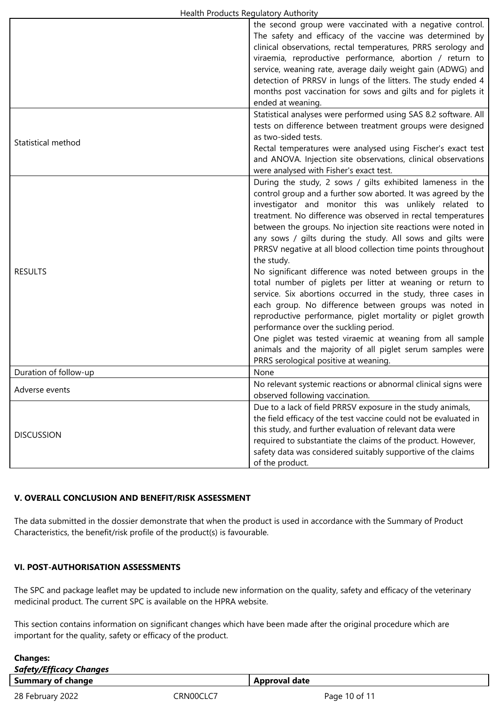|                       | the second group were vaccinated with a negative control.<br>The safety and efficacy of the vaccine was determined by<br>clinical observations, rectal temperatures, PRRS serology and<br>viraemia, reproductive performance, abortion / return to<br>service, weaning rate, average daily weight gain (ADWG) and<br>detection of PRRSV in lungs of the litters. The study ended 4<br>months post vaccination for sows and gilts and for piglets it<br>ended at weaning.                                                                                                                                                                                                                                                                                                                                                                                                                                                                                                                          |
|-----------------------|---------------------------------------------------------------------------------------------------------------------------------------------------------------------------------------------------------------------------------------------------------------------------------------------------------------------------------------------------------------------------------------------------------------------------------------------------------------------------------------------------------------------------------------------------------------------------------------------------------------------------------------------------------------------------------------------------------------------------------------------------------------------------------------------------------------------------------------------------------------------------------------------------------------------------------------------------------------------------------------------------|
| Statistical method    | Statistical analyses were performed using SAS 8.2 software. All<br>tests on difference between treatment groups were designed<br>as two-sided tests.<br>Rectal temperatures were analysed using Fischer's exact test<br>and ANOVA. Injection site observations, clinical observations<br>were analysed with Fisher's exact test.                                                                                                                                                                                                                                                                                                                                                                                                                                                                                                                                                                                                                                                                  |
| <b>RESULTS</b>        | During the study, 2 sows / gilts exhibited lameness in the<br>control group and a further sow aborted. It was agreed by the<br>investigator and monitor this was unlikely related to<br>treatment. No difference was observed in rectal temperatures<br>between the groups. No injection site reactions were noted in<br>any sows / gilts during the study. All sows and gilts were<br>PRRSV negative at all blood collection time points throughout<br>the study.<br>No significant difference was noted between groups in the<br>total number of piglets per litter at weaning or return to<br>service. Six abortions occurred in the study, three cases in<br>each group. No difference between groups was noted in<br>reproductive performance, piglet mortality or piglet growth<br>performance over the suckling period.<br>One piglet was tested viraemic at weaning from all sample<br>animals and the majority of all piglet serum samples were<br>PRRS serological positive at weaning. |
| Duration of follow-up | None                                                                                                                                                                                                                                                                                                                                                                                                                                                                                                                                                                                                                                                                                                                                                                                                                                                                                                                                                                                              |
| Adverse events        | No relevant systemic reactions or abnormal clinical signs were<br>observed following vaccination.                                                                                                                                                                                                                                                                                                                                                                                                                                                                                                                                                                                                                                                                                                                                                                                                                                                                                                 |
| <b>DISCUSSION</b>     | Due to a lack of field PRRSV exposure in the study animals,<br>the field efficacy of the test vaccine could not be evaluated in<br>this study, and further evaluation of relevant data were<br>required to substantiate the claims of the product. However,<br>safety data was considered suitably supportive of the claims<br>of the product.                                                                                                                                                                                                                                                                                                                                                                                                                                                                                                                                                                                                                                                    |

# **V. OVERALL CONCLUSION AND BENEFIT/RISK ASSESSMENT**

The data submitted in the dossier demonstrate that when the product is used in accordance with the Summary of Product Characteristics, the benefit/risk profile of the product(s) is favourable.

## **VI. POST-AUTHORISATION ASSESSMENTS**

 $\overline{\phantom{a}}$ 

The SPC and package leaflet may be updated to include new information on the quality, safety and efficacy of the veterinary medicinal product. The current SPC is available on the HPRA website.

This section contains information on significant changes which have been made after the original procedure which are important for the quality, safety or efficacy of the product.

| <b>Changes:</b>                |           |                      |
|--------------------------------|-----------|----------------------|
| <b>Safety/Efficacy Changes</b> |           |                      |
| <b>Summary of change</b>       |           | <b>Approval date</b> |
| 28 February 2022               | CRN00CLC7 | Page 10 of 11        |